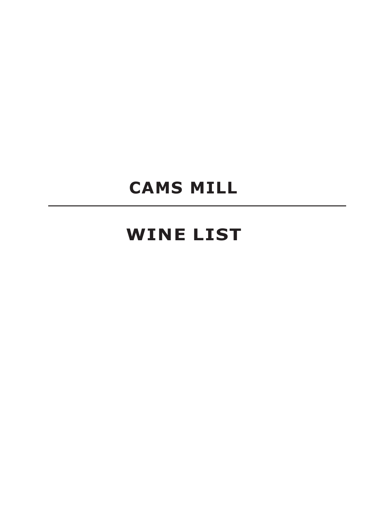# **CAMS MILL**

# **WINE LIST**